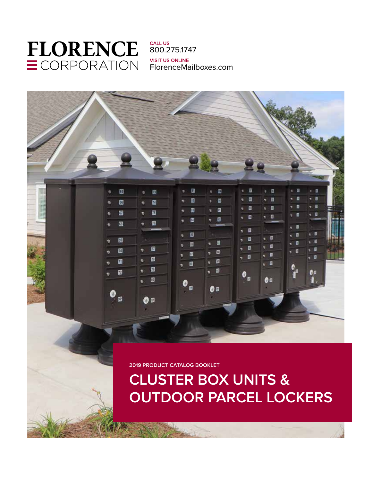# **CLUSTER BOX UNITS & OUTDOOR PARCEL LOCKERS**

**2019 PRODUCT CATALOG BOOKLET**



**FLORENCE** ECORPORATION

**CALL US** 800.275.1747 **VISIT US ONLINE** FlorenceMailboxes.com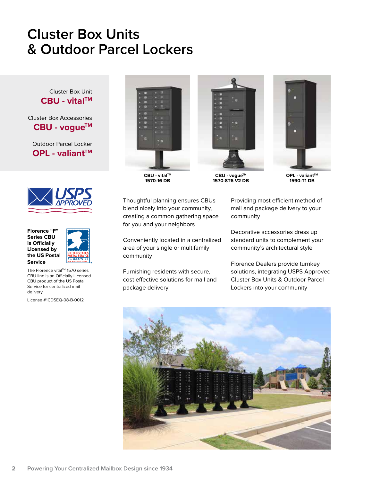## **Cluster Box Units & Outdoor Parcel Lockers**

Cluster Box Unit **CBU - vitalTM**

Cluster Box Accessories CBU - voque<sup>™</sup>

Outdoor Parcel Locker **OPL - valiant™** 







The Florence vital™ 1570 series CBU line is an Officially Licensed CBU product of the US Postal Service for centralized mail delivery.

License #1CDSEQ-08-B-0012



**CBU - vitalTM 1570-16 DB**



**CBU - vogueTM 1570-8T6 V2 DB**



**OPL - valiant™ 1590-T1 DB**

Thoughtful planning ensures CBUs blend nicely into your community, creating a common gathering space for you and your neighbors

Conveniently located in a centralized area of your single or multifamily community

Furnishing residents with secure, cost effective solutions for mail and package delivery

Providing most efficient method of mail and package delivery to your community

Decorative accessories dress up standard units to complement your community's architectural style

Florence Dealers provide turnkey solutions, integrating USPS Approved Cluster Box Units & Outdoor Parcel Lockers into your community

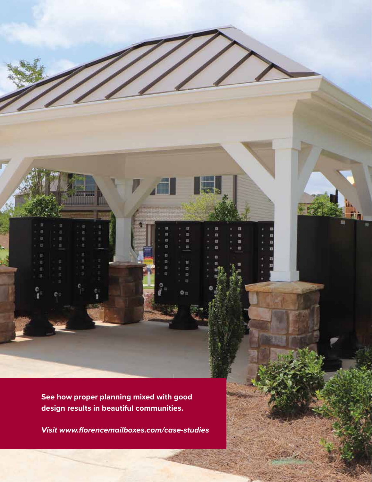**See how proper planning mixed with good design results in beautiful communities.** 

**2 Powering Your Centralized Mailbox Design since 1934 800.275.1747 FlorenceMailboxes.com 3**

 $\mathbb{R}$ 

**Visit www.florencemailboxes.com/case-studies**

D III) m 旧

 $\mathbf{0} =$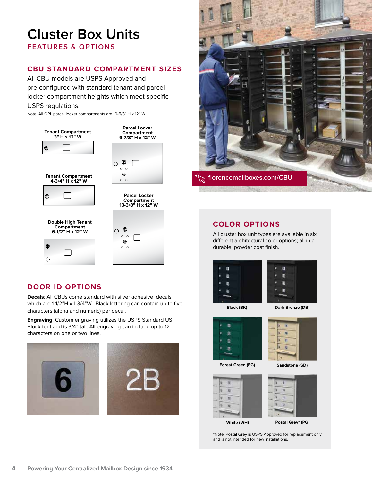## **Cluster Box Units FEATURES & OPTIONS**

#### **CBU STANDARD COMPARTMENT SIZES**

All CBU models are USPS Approved and pre-configured with standard tenant and parcel locker compartment heights which meet specific USPS regulations.

Note: All OPL parcel locker compartments are 19-5/8" H x 12" W







**Parcel Locker Compartment 13-3/8" H x 12" W**



#### **DOOR ID OPTIONS**

**6-1/2" H x 12" W**

൹

 $\circ$ 

**Decals**: All CBUs come standard with silver adhesive decals which are 1-1/2"H x 1-3/4"W. Black lettering can contain up to five characters (alpha and numeric) per decal.

**Engraving**: Custom engraving utilizes the USPS Standard US Block font and is 3/4" tall. All engraving can include up to 12 characters on one or two lines.





#### **COLOR OPTIONS**

All cluster box unit types are available in six different architectural color options; all in a durable, powder coat finish.



**Black (BK) Dark Bronze (DB)**



**Forest Green (FG) Sandstone (SD)**







**Postal Grey\* (PG)**

\*Note: Postal Grey is USPS Approved for replacement only and is not intended for new installations.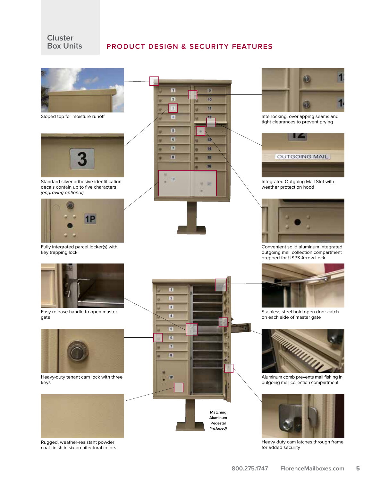#### **Cluster Box Units**

Rugged, weather-resistant powder coat finish in six architectural colors

#### **PRODUCT DESIGN & SECURITY FEATURES**





Interlocking, overlapping seams and tight clearances to prevent prying



Integrated Outgoing Mail Slot with weather protection hood



Convenient solid aluminum integrated outgoing mail collection compartment prepped for USPS Arrow Lock



Stainless steel hold open door catch on each side of master gate



Aluminum comb prevents mail fishing in outgoing mail collection compartment



Heavy duty cam latches through frame for added security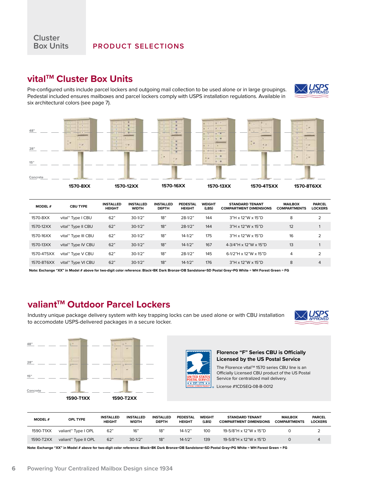## **vitalTM Cluster Box Units**

Pre-configured units include parcel lockers and outgoing mail collection to be used alone or in large groupings. Pedestal included ensures mailboxes and parcel lockers comply with USPS installation regulations. Available in six architectural colors (see page 7).





| <b>MODEL#</b> | <b>CBU TYPE</b>                | <b>INSTALLED</b><br><b>HEIGHT</b> | <b>INSTALLED</b><br><b>WIDTH</b> | <b>INSTALLED</b><br><b>DEPTH</b> | PEDESTAL<br><b>HEIGHT</b> | <b>WEIGHT</b><br>(LBS) | <b>STANDARD TENANT</b><br><b>COMPARTMENT DIMENSIONS</b> | <b>MAILBOX</b><br><b>COMPARTMENTS</b> | <b>PARCEL</b><br><b>LOCKERS</b> |
|---------------|--------------------------------|-----------------------------------|----------------------------------|----------------------------------|---------------------------|------------------------|---------------------------------------------------------|---------------------------------------|---------------------------------|
| 1570-8XX      | vital™ Type I CBU              | 62"                               | $30-1/2"$                        | 18"                              | $28-1/2"$                 | 144                    | $3"H \times 12"W \times 15"D$                           | 8                                     | $\overline{2}$                  |
| 1570-12XX     | vital <sup>™</sup> Type II CBU | 62"                               | $30-1/2"$                        | 18"                              | $28-1/2"$                 | 144                    | $3"H \times 12"W \times 15"D$                           | 12                                    |                                 |
| 1570-16XX     | vital™ Type III CBU            | 62"                               | $30-1/2"$                        | 18"                              | $14 - 1/2"$               | 175                    | 3"H x 12"W x 15"D                                       | 16                                    | 2                               |
| 1570-13XX     | vital™ Type IV CBU             | 62"                               | $30-1/2"$                        | 18"                              | $14 - 1/2"$               | 167                    | 4-3/4"H x 12"W x 15"D                                   | 13                                    |                                 |
| 1570-4T5XX    | vital™ Type V CBU              | 62"                               | $30-1/2"$                        | 18"                              | $28-1/2"$                 | 145                    | 6-1/2"H x 12"W x 15"D                                   | 4                                     | 2                               |
| 1570-8T6XX    | vital™ Type VI CBU             | 62"                               | $30-1/2"$                        | 18"                              | $14 - 1/2"$               | 176                    | $3"H \times 12"W \times 15"D$                           | 8                                     | $\overline{4}$                  |

**Note: Exchange "XX" in Model # above for two-digit color reference: Black=BK Dark Bronze=DB Sandstone=SD Postal Grey=PG White = WH Forest Green = FG**

### valiant<sup>™</sup> Outdoor Parcel Lockers

Industry unique package delivery system with key trapping locks can be used alone or with CBU installation to accomodate USPS-delivered packages in a secure locker.







**Florence "F" Series CBU is Officially Licensed by the US Postal Service**

The Florence vital™ 1570 series CBU line is an Officially Licensed CBU product of the US Postal Service for centralized mail delivery.

License #1CDSEQ-08-B-0012

| <b>MODEL#</b> | <b>OPL TYPE</b>                  | <b>INSTALLED</b><br><b>HEIGHT</b> | <b>INSTALLED</b><br><b>WIDTH</b> | <b>INSTALLED</b><br><b>DEPTH</b> | <b>PEDESTAL</b><br><b>HEIGHT</b> | <b>WEIGHT</b><br>(LBS) | <b>STANDARD TENANT</b><br><b>COMPARTMENT DIMENSIONS</b> | <b>MAILBOX</b><br><b>COMPARTMENTS</b> | <b>PARCEL</b><br><b>LOCKERS</b> |
|---------------|----------------------------------|-----------------------------------|----------------------------------|----------------------------------|----------------------------------|------------------------|---------------------------------------------------------|---------------------------------------|---------------------------------|
| 1590-T1XX     | valiant™ Type I OPL              | 62"                               | 16"                              | 18"                              | $14 - 1/2"$                      | 100                    | 19-5/8"H x 12"W x 15"D                                  |                                       |                                 |
| 1590-T2XX     | valiant <sup>™</sup> Type II OPL | 62"                               | $30-1/2"$                        | 18"                              | $14 - 1/2"$                      | 139                    | 19-5/8"H x 12"W x 15"D                                  |                                       |                                 |

**Note: Exchange "XX" in Model # above for two-digit color reference: Black=BK Dark Bronze=DB Sandstone=SD Postal Grey=PG White = WH Forest Green = FG**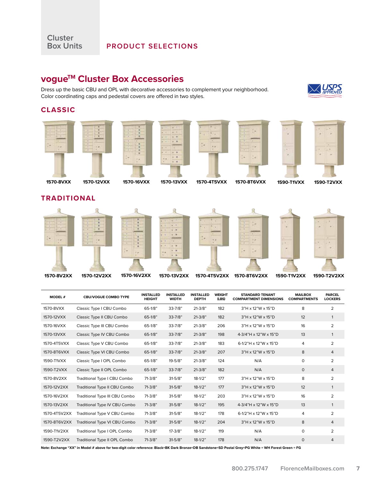#### **PRODUCT SELECTIONS**

## **vogue™ Cluster Box Accessories**

Dress up the basic CBU and OPL with decorative accessories to complement your neighborhood. Color coordinating caps and pedestal covers are offered in two styles.

#### **CLASSIC**

**Cluster** 



| <b>MODEL#</b> | <b>CBU/VOGUE COMBO TYPE</b>    | <b>INSTALLED</b><br><b>HEIGHT</b> | <b>INSTALLED</b><br><b>WIDTH</b> | <b>INSTALLED</b><br><b>DEPTH</b> | <b>WEIGHT</b><br>(LBS) | <b>STANDARD TENANT</b><br><b>COMPARTMENT DIMENSIONS</b> | <b>MAILBOX</b><br><b>COMPARTMENTS</b> | <b>PARCEL</b><br><b>LOCKERS</b> |
|---------------|--------------------------------|-----------------------------------|----------------------------------|----------------------------------|------------------------|---------------------------------------------------------|---------------------------------------|---------------------------------|
| 1570-8VXX     | Classic Type I CBU Combo       | 65-1/8"                           | $33 - 7/8"$                      | $21 - 3/8"$                      | 182                    | $3"H \times 12"W \times 15"D$                           | 8                                     | 2                               |
| 1570-12VXX    | Classic Type II CBU Combo      | $65 - 1/8"$                       | $33 - 7/8"$                      | $21 - 3/8"$                      | 182                    | $3"H \times 12"W \times 15"D$                           | 12                                    | $\mathbf{1}$                    |
| 1570-16VXX    | Classic Type III CBU Combo     | 65-1/8"                           | $33 - 7/8"$                      | $21 - 3/8"$                      | 206                    | $3"H \times 12"W \times 15"D$                           | 16                                    | $\overline{2}$                  |
| 1570-13VXX    | Classic Type IV CBU Combo      | $65 - 1/8"$                       | $33 - 7/8"$                      | $21 - 3/8"$                      | 198                    | 4-3/4"H x 12"W x 15"D                                   | 13                                    | 1                               |
| 1570-4T5VXX   | Classic Type V CBU Combo       | 65-1/8"                           | $33 - 7/8"$                      | $21 - 3/8"$                      | 183                    | 6-1/2"H x 12"W x 15"D                                   | 4                                     | 2                               |
| 1570-8T6VXX   | Classic Type VI CBU Combo      | $65 - 1/8"$                       | $33 - 7/8"$                      | $21 - 3/8"$                      | 207                    | $3"H \times 12"W \times 15"D$                           | 8                                     | 4                               |
| 1590-T1VXX    | Classic Type I OPL Combo       | 65-1/8"                           | 19-5/8"                          | $21 - 3/8"$                      | 124                    | N/A                                                     | $\circ$                               | 2                               |
| 1590-T2VXX    | Classic Type II OPL Combo      | $65-1/8"$                         | $33 - 7/8"$                      | $21 - 3/8"$                      | 182                    | N/A                                                     | $\circ$                               | 4                               |
| 1570-8V2XX    | Traditional Type I CBU Combo   | $71-3/8"$                         | $31 - 5/8"$                      | $18-1/2"$                        | 177                    | 3"H x 12"W x 15"D                                       | 8                                     | $\overline{2}$                  |
| 1570-12V2XX   | Traditional Type II CBU Combo  | $71-3/8"$                         | $31 - 5/8"$                      | $18-1/2"$                        | 177                    | $3"H \times 12"W \times 15"D$                           | 12                                    | $\mathbf{1}$                    |
| 1570-16V2XX   | Traditional Type III CBU Combo | $71-3/8"$                         | $31 - 5/8"$                      | $18-1/2"$                        | 203                    | 3"H x 12"W x 15"D                                       | 16                                    | $\overline{2}$                  |
| 1570-13V2XX   | Traditional Type IV CBU Combo  | 71-3/8"                           | $31 - 5/8"$                      | $18-1/2"$                        | 195                    | 4-3/4"H x 12"W x 15"D                                   | 13                                    | 1                               |
| 1570-4T5V2XX  | Traditional Type V CBU Combo   | $71-3/8"$                         | $31 - 5/8"$                      | $18-1/2"$                        | 178                    | 6-1/2"H x 12"W x 15"D                                   | 4                                     | $\overline{2}$                  |
| 1570-8T6V2XX  | Traditional Type VI CBU Combo  | $71-3/8"$                         | $31 - 5/8"$                      | $18-1/2"$                        | 204                    | $3"H \times 12"W \times 15"D$                           | 8                                     | 4                               |
| 1590-T1V2XX   | Traditional Type I OPL Combo   | $71-3/8"$                         | $17 - 3/8"$                      | $18-1/2"$                        | 119                    | N/A                                                     | $\mathbf 0$                           | 2                               |
| 1590-T2V2XX   | Traditional Type II OPL Combo  | $71-3/8"$                         | $31 - 5/8"$                      | $18-1/2"$                        | 178                    | N/A                                                     | $\circ$                               | 4                               |

**Note: Exchange "XX" in Model # above for two-digit color reference: Black=BK Dark Bronze=DB Sandstone=SD Postal Grey=PG White = WH Forest Green = FG**